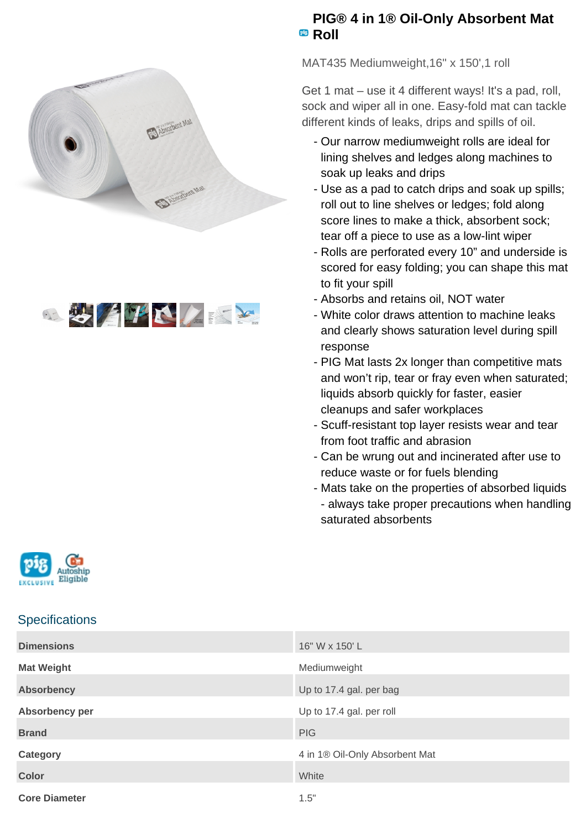



## **PIG® 4 in 1® Oil-Only Absorbent Mat** <sup>pig</sup> Roll

MAT435 Mediumweight,16" x 150',1 roll

Get 1 mat – use it 4 different ways! It's a pad, roll, sock and wiper all in one. Easy-fold mat can tackle different kinds of leaks, drips and spills of oil.

- Our narrow mediumweight rolls are ideal for lining shelves and ledges along machines to soak up leaks and drips
- Use as a pad to catch drips and soak up spills; roll out to line shelves or ledges; fold along score lines to make a thick, absorbent sock; tear off a piece to use as a low-lint wiper
- Rolls are perforated every 10" and underside is scored for easy folding; you can shape this mat to fit your spill
- Absorbs and retains oil, NOT water
- White color draws attention to machine leaks and clearly shows saturation level during spill response
- PIG Mat lasts 2x longer than competitive mats and won't rip, tear or fray even when saturated; liquids absorb quickly for faster, easier cleanups and safer workplaces
- Scuff-resistant top layer resists wear and tear from foot traffic and abrasion
- Can be wrung out and incinerated after use to reduce waste or for fuels blending
- Mats take on the properties of absorbed liquids - always take proper precautions when handling saturated absorbents



## **Specifications**

| <b>Dimensions</b>    | 16" W x 150' L                 |
|----------------------|--------------------------------|
| <b>Mat Weight</b>    | Mediumweight                   |
| <b>Absorbency</b>    | Up to 17.4 gal. per bag        |
| Absorbency per       | Up to 17.4 gal. per roll       |
| <b>Brand</b>         | <b>PIG</b>                     |
| <b>Category</b>      | 4 in 1® Oil-Only Absorbent Mat |
| <b>Color</b>         | White                          |
| <b>Core Diameter</b> | 1.5"                           |